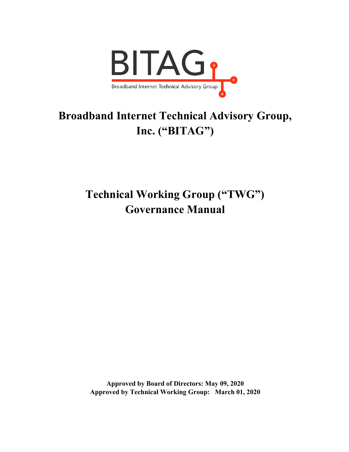

# **Broadband Internet Technical Advisory Group, Inc. ("BITAG")**

**Technical Working Group ("TWG") Governance Manual**

**Approved by Board of Directors: May 09, 2020 Approved by Technical Working Group: March 01, 2020**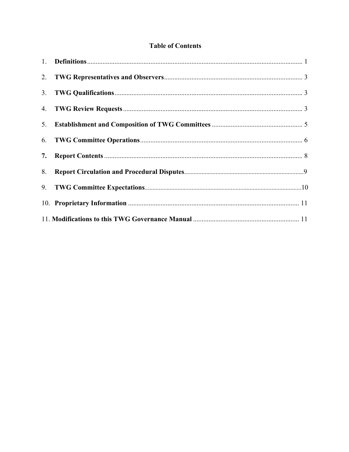# **Table of Contents**

| 7. |  |  |  |
|----|--|--|--|
| 8. |  |  |  |
|    |  |  |  |
|    |  |  |  |
|    |  |  |  |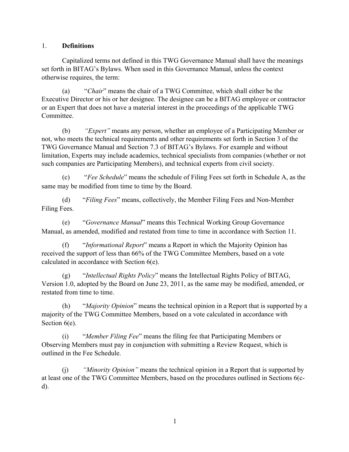#### 1. **Definitions**

Capitalized terms not defined in this TWG Governance Manual shall have the meanings set forth in BITAG's Bylaws. When used in this Governance Manual, unless the context otherwise requires, the term:

(a) "*Chair*" means the chair of a TWG Committee, which shall either be the Executive Director or his or her designee. The designee can be a BITAG employee or contractor or an Expert that does not have a material interest in the proceedings of the applicable TWG Committee.

(b) *"Expert"* means any person, whether an employee of a Participating Member or not, who meets the technical requirements and other requirements set forth in Section 3 of the TWG Governance Manual and Section 7.3 of BITAG's Bylaws. For example and without limitation, Experts may include academics, technical specialists from companies (whether or not such companies are Participating Members), and technical experts from civil society.

(c) "*Fee Schedule*" means the schedule of Filing Fees set forth in Schedule A, as the same may be modified from time to time by the Board.

(d) "*Filing Fees*" means, collectively, the Member Filing Fees and Non-Member Filing Fees.

(e) "*Governance Manual*" means this Technical Working Group Governance Manual, as amended, modified and restated from time to time in accordance with Section 11.

(f) "*Informational Report*" means a Report in which the Majority Opinion has received the support of less than 66% of the TWG Committee Members, based on a vote calculated in accordance with Section 6(e).

(g) "*Intellectual Rights Policy*" means the Intellectual Rights Policy of BITAG, Version 1.0, adopted by the Board on June 23, 2011, as the same may be modified, amended, or restated from time to time.

(h) "*Majority Opinion*" means the technical opinion in a Report that is supported by a majority of the TWG Committee Members, based on a vote calculated in accordance with Section  $6(e)$ .

(i) "*Member Filing Fee*" means the filing fee that Participating Members or Observing Members must pay in conjunction with submitting a Review Request, which is outlined in the Fee Schedule.

(j) *"Minority Opinion"* means the technical opinion in a Report that is supported by at least one of the TWG Committee Members, based on the procedures outlined in Sections 6(cd).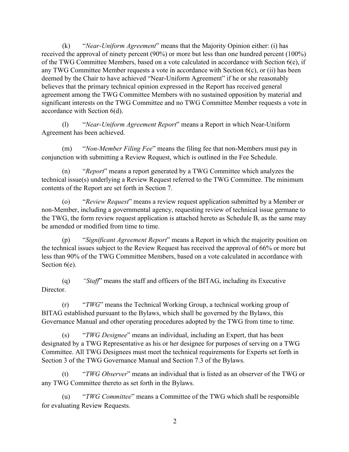(k) "*Near-Uniform Agreement*" means that the Majority Opinion either: (i) has received the approval of ninety percent (90%) or more but less than one hundred percent (100%) of the TWG Committee Members, based on a vote calculated in accordance with Section  $6(e)$ , if any TWG Committee Member requests a vote in accordance with Section 6(c), or (ii) has been deemed by the Chair to have achieved "Near-Uniform Agreement" if he or she reasonably believes that the primary technical opinion expressed in the Report has received general agreement among the TWG Committee Members with no sustained opposition by material and significant interests on the TWG Committee and no TWG Committee Member requests a vote in accordance with Section 6(d).

(l) "*Near-Uniform Agreement Report*" means a Report in which Near-Uniform Agreement has been achieved.

(m) "*Non-Member Filing Fee*" means the filing fee that non-Members must pay in conjunction with submitting a Review Request, which is outlined in the Fee Schedule.

(n) "*Report*" means a report generated by a TWG Committee which analyzes the technical issue(s) underlying a Review Request referred to the TWG Committee. The minimum contents of the Report are set forth in Section 7.

(o) "*Review Request*" means a review request application submitted by a Member or non-Member, including a governmental agency, requesting review of technical issue germane to the TWG, the form review request application is attached hereto as Schedule B, as the same may be amended or modified from time to time.

(p) "*Significant Agreement Report*" means a Report in which the majority position on the technical issues subject to the Review Request has received the approval of 66% or more but less than 90% of the TWG Committee Members, based on a vote calculated in accordance with Section  $6(e)$ .

(q) *"Staff*" means the staff and officers of the BITAG, including its Executive Director.

(r) "*TWG*" means the Technical Working Group, a technical working group of BITAG established pursuant to the Bylaws, which shall be governed by the Bylaws, this Governance Manual and other operating procedures adopted by the TWG from time to time.

(s) "*TWG Designee*" means an individual, including an Expert, that has been designated by a TWG Representative as his or her designee for purposes of serving on a TWG Committee. All TWG Designees must meet the technical requirements for Experts set forth in Section 3 of the TWG Governance Manual and Section 7.3 of the Bylaws.

(t) "*TWG Observer*" means an individual that is listed as an observer of the TWG or any TWG Committee thereto as set forth in the Bylaws.

(u) "*TWG Committee*" means a Committee of the TWG which shall be responsible for evaluating Review Requests.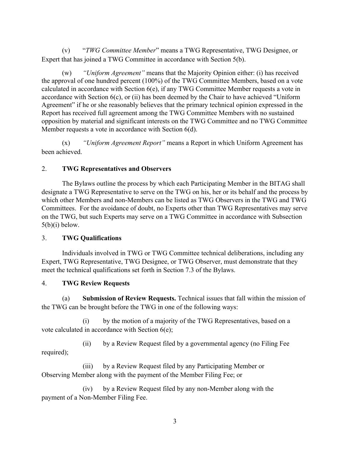(v) "*TWG Committee Member*" means a TWG Representative, TWG Designee, or Expert that has joined a TWG Committee in accordance with Section 5(b).

(w) *"Uniform Agreement"* means that the Majority Opinion either: (i) has received the approval of one hundred percent (100%) of the TWG Committee Members, based on a vote calculated in accordance with Section 6(e), if any TWG Committee Member requests a vote in accordance with Section 6(c), or (ii) has been deemed by the Chair to have achieved "Uniform Agreement" if he or she reasonably believes that the primary technical opinion expressed in the Report has received full agreement among the TWG Committee Members with no sustained opposition by material and significant interests on the TWG Committee and no TWG Committee Member requests a vote in accordance with Section 6(d).

(x) *"Uniform Agreement Report"* means a Report in which Uniform Agreement has been achieved.

## 2. **TWG Representatives and Observers**

The Bylaws outline the process by which each Participating Member in the BITAG shall designate a TWG Representative to serve on the TWG on his, her or its behalf and the process by which other Members and non-Members can be listed as TWG Observers in the TWG and TWG Committees. For the avoidance of doubt, no Experts other than TWG Representatives may serve on the TWG, but such Experts may serve on a TWG Committee in accordance with Subsection  $5(b)(i)$  below.

## 3. **TWG Qualifications**

Individuals involved in TWG or TWG Committee technical deliberations, including any Expert, TWG Representative, TWG Designee, or TWG Observer, must demonstrate that they meet the technical qualifications set forth in Section 7.3 of the Bylaws.

## 4. **TWG Review Requests**

(a) **Submission of Review Requests.** Technical issues that fall within the mission of the TWG can be brought before the TWG in one of the following ways:

(i) by the motion of a majority of the TWG Representatives, based on a vote calculated in accordance with Section 6(e);

(ii) by a Review Request filed by a governmental agency (no Filing Fee required);

(iii) by a Review Request filed by any Participating Member or Observing Member along with the payment of the Member Filing Fee; or

(iv) by a Review Request filed by any non-Member along with the payment of a Non-Member Filing Fee.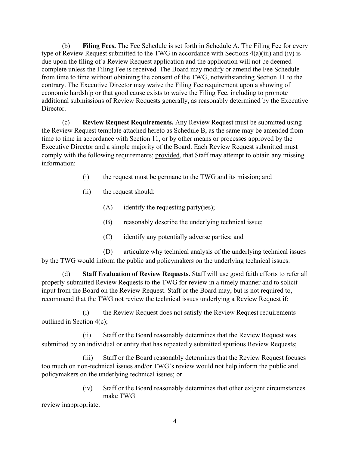(b) **Filing Fees.** The Fee Schedule is set forth in Schedule A. The Filing Fee for every type of Review Request submitted to the TWG in accordance with Sections 4(a)(iii) and (iv) is due upon the filing of a Review Request application and the application will not be deemed complete unless the Filing Fee is received. The Board may modify or amend the Fee Schedule from time to time without obtaining the consent of the TWG, notwithstanding Section 11 to the contrary. The Executive Director may waive the Filing Fee requirement upon a showing of economic hardship or that good cause exists to waive the Filing Fee, including to promote additional submissions of Review Requests generally, as reasonably determined by the Executive Director.

(c) **Review Request Requirements.** Any Review Request must be submitted using the Review Request template attached hereto as Schedule B, as the same may be amended from time to time in accordance with Section 11, or by other means or processes approved by the Executive Director and a simple majority of the Board. Each Review Request submitted must comply with the following requirements; provided, that Staff may attempt to obtain any missing information:

- (i) the request must be germane to the TWG and its mission; and
- (ii) the request should:
	- (A) identify the requesting party(ies);
	- (B) reasonably describe the underlying technical issue;
	- (C) identify any potentially adverse parties; and

(D) articulate why technical analysis of the underlying technical issues by the TWG would inform the public and policymakers on the underlying technical issues.

(d) **Staff Evaluation of Review Requests.** Staff will use good faith efforts to refer all properly-submitted Review Requests to the TWG for review in a timely manner and to solicit input from the Board on the Review Request. Staff or the Board may, but is not required to, recommend that the TWG not review the technical issues underlying a Review Request if:

(i) the Review Request does not satisfy the Review Request requirements outlined in Section 4(c);

(ii) Staff or the Board reasonably determines that the Review Request was submitted by an individual or entity that has repeatedly submitted spurious Review Requests;

(iii) Staff or the Board reasonably determines that the Review Request focuses too much on non-technical issues and/or TWG's review would not help inform the public and policymakers on the underlying technical issues; or

> (iv) Staff or the Board reasonably determines that other exigent circumstances make TWG

review inappropriate.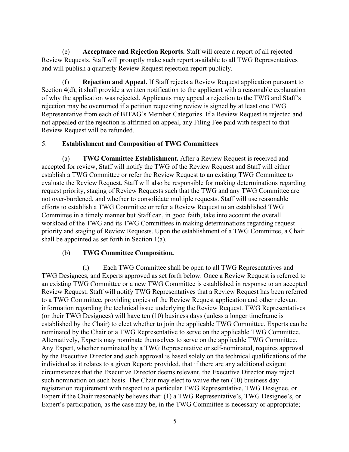(e) **Acceptance and Rejection Reports.** Staff will create a report of all rejected Review Requests. Staff will promptly make such report available to all TWG Representatives and will publish a quarterly Review Request rejection report publicly.

**Rejection and Appeal.** If Staff rejects a Review Request application pursuant to Section 4(d), it shall provide a written notification to the applicant with a reasonable explanation of why the application was rejected. Applicants may appeal a rejection to the TWG and Staff's rejection may be overturned if a petition requesting review is signed by at least one TWG Representative from each of BITAG's Member Categories. If a Review Request is rejected and not appealed or the rejection is affirmed on appeal, any Filing Fee paid with respect to that Review Request will be refunded.

#### 5. **Establishment and Composition of TWG Committees**

(a) **TWG Committee Establishment.** After a Review Request is received and accepted for review, Staff will notify the TWG of the Review Request and Staff will either establish a TWG Committee or refer the Review Request to an existing TWG Committee to evaluate the Review Request. Staff will also be responsible for making determinations regarding request priority, staging of Review Requests such that the TWG and any TWG Committee are not over-burdened, and whether to consolidate multiple requests. Staff will use reasonable efforts to establish a TWG Committee or refer a Review Request to an established TWG Committee in a timely manner but Staff can, in good faith, take into account the overall workload of the TWG and its TWG Committees in making determinations regarding request priority and staging of Review Requests. Upon the establishment of a TWG Committee, a Chair shall be appointed as set forth in Section 1(a).

## (b) **TWG Committee Composition.**

(i) Each TWG Committee shall be open to all TWG Representatives and TWG Designees, and Experts approved as set forth below. Once a Review Request is referred to an existing TWG Committee or a new TWG Committee is established in response to an accepted Review Request, Staff will notify TWG Representatives that a Review Request has been referred to a TWG Committee, providing copies of the Review Request application and other relevant information regarding the technical issue underlying the Review Request. TWG Representatives (or their TWG Designees) will have ten (10) business days (unless a longer timeframe is established by the Chair) to elect whether to join the applicable TWG Committee. Experts can be nominated by the Chair or a TWG Representative to serve on the applicable TWG Committee. Alternatively, Experts may nominate themselves to serve on the applicable TWG Committee. Any Expert, whether nominated by a TWG Representative or self-nominated, requires approval by the Executive Director and such approval is based solely on the technical qualifications of the individual as it relates to a given Report; provided, that if there are any additional exigent circumstances that the Executive Director deems relevant, the Executive Director may reject such nomination on such basis. The Chair may elect to waive the ten (10) business day registration requirement with respect to a particular TWG Representative, TWG Designee, or Expert if the Chair reasonably believes that: (1) a TWG Representative's, TWG Designee's, or Expert's participation, as the case may be, in the TWG Committee is necessary or appropriate;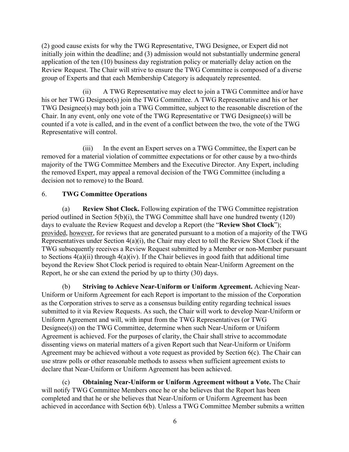(2) good cause exists for why the TWG Representative, TWG Designee, or Expert did not initially join within the deadline; and (3) admission would not substantially undermine general application of the ten (10) business day registration policy or materially delay action on the Review Request. The Chair will strive to ensure the TWG Committee is composed of a diverse group of Experts and that each Membership Category is adequately represented.

(ii) A TWG Representative may elect to join a TWG Committee and/or have his or her TWG Designee(s) join the TWG Committee. A TWG Representative and his or her TWG Designee(s) may both join a TWG Committee, subject to the reasonable discretion of the Chair. In any event, only one vote of the TWG Representative or TWG Designee(s) will be counted if a vote is called, and in the event of a conflict between the two, the vote of the TWG Representative will control.

(iii) In the event an Expert serves on a TWG Committee, the Expert can be removed for a material violation of committee expectations or for other cause by a two-thirds majority of the TWG Committee Members and the Executive Director. Any Expert, including the removed Expert, may appeal a removal decision of the TWG Committee (including a decision not to remove) to the Board.

## 6. **TWG Committee Operations**

(a) **Review Shot Clock.** Following expiration of the TWG Committee registration period outlined in Section 5(b)(i), the TWG Committee shall have one hundred twenty (120) days to evaluate the Review Request and develop a Report (the "**Review Shot Clock**"); provided, however, for reviews that are generated pursuant to a motion of a majority of the TWG Representatives under Section 4(a)(i), the Chair may elect to toll the Review Shot Clock if the TWG subsequently receives a Review Request submitted by a Member or non-Member pursuant to Sections  $4(a)(ii)$  through  $4(a)(iv)$ . If the Chair believes in good faith that additional time beyond the Review Shot Clock period is required to obtain Near-Uniform Agreement on the Report, he or she can extend the period by up to thirty (30) days.

(b) **Striving to Achieve Near-Uniform or Uniform Agreement.** Achieving Near-Uniform or Uniform Agreement for each Report is important to the mission of the Corporation as the Corporation strives to serve as a consensus building entity regarding technical issues submitted to it via Review Requests. As such, the Chair will work to develop Near-Uniform or Uniform Agreement and will, with input from the TWG Representatives (or TWG Designee(s)) on the TWG Committee, determine when such Near-Uniform or Uniform Agreement is achieved. For the purposes of clarity, the Chair shall strive to accommodate dissenting views on material matters of a given Report such that Near-Uniform or Uniform Agreement may be achieved without a vote request as provided by Section 6(c). The Chair can use straw polls or other reasonable methods to assess when sufficient agreement exists to declare that Near-Uniform or Uniform Agreement has been achieved.

(c) **Obtaining Near-Uniform or Uniform Agreement without a Vote.** The Chair will notify TWG Committee Members once he or she believes that the Report has been completed and that he or she believes that Near-Uniform or Uniform Agreement has been achieved in accordance with Section 6(b). Unless a TWG Committee Member submits a written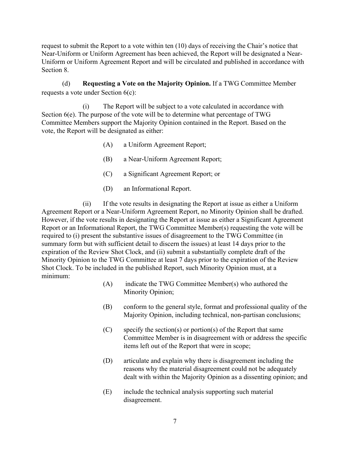request to submit the Report to a vote within ten (10) days of receiving the Chair's notice that Near-Uniform or Uniform Agreement has been achieved, the Report will be designated a Near-Uniform or Uniform Agreement Report and will be circulated and published in accordance with Section 8.

(d) **Requesting a Vote on the Majority Opinion.** If a TWG Committee Member requests a vote under Section 6(c):

(i) The Report will be subject to a vote calculated in accordance with Section 6(e). The purpose of the vote will be to determine what percentage of TWG Committee Members support the Majority Opinion contained in the Report. Based on the vote, the Report will be designated as either:

- (A) a Uniform Agreement Report;
- (B) a Near-Uniform Agreement Report;
- (C) a Significant Agreement Report; or
- (D) an Informational Report.

(ii) If the vote results in designating the Report at issue as either a Uniform Agreement Report or a Near-Uniform Agreement Report, no Minority Opinion shall be drafted. However, if the vote results in designating the Report at issue as either a Significant Agreement Report or an Informational Report, the TWG Committee Member(s) requesting the vote will be required to (i) present the substantive issues of disagreement to the TWG Committee (in summary form but with sufficient detail to discern the issues) at least 14 days prior to the expiration of the Review Shot Clock, and (ii) submit a substantially complete draft of the Minority Opinion to the TWG Committee at least 7 days prior to the expiration of the Review Shot Clock. To be included in the published Report, such Minority Opinion must, at a minimum:

- (A) indicate the TWG Committee Member(s) who authored the Minority Opinion;
- (B) conform to the general style, format and professional quality of the Majority Opinion, including technical, non-partisan conclusions;
- (C) specify the section(s) or portion(s) of the Report that same Committee Member is in disagreement with or address the specific items left out of the Report that were in scope;
- (D) articulate and explain why there is disagreement including the reasons why the material disagreement could not be adequately dealt with within the Majority Opinion as a dissenting opinion; and
- (E) include the technical analysis supporting such material disagreement.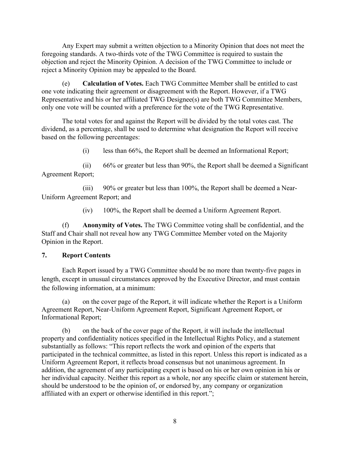Any Expert may submit a written objection to a Minority Opinion that does not meet the foregoing standards. A two-thirds vote of the TWG Committee is required to sustain the objection and reject the Minority Opinion. A decision of the TWG Committee to include or reject a Minority Opinion may be appealed to the Board.

(e) **Calculation of Votes.** Each TWG Committee Member shall be entitled to cast one vote indicating their agreement or disagreement with the Report. However, if a TWG Representative and his or her affiliated TWG Designee(s) are both TWG Committee Members, only one vote will be counted with a preference for the vote of the TWG Representative.

The total votes for and against the Report will be divided by the total votes cast. The dividend, as a percentage, shall be used to determine what designation the Report will receive based on the following percentages:

(i) less than 66%, the Report shall be deemed an Informational Report;

(ii) 66% or greater but less than 90%, the Report shall be deemed a Significant Agreement Report;

(iii) 90% or greater but less than 100%, the Report shall be deemed a Near-Uniform Agreement Report; and

(iv) 100%, the Report shall be deemed a Uniform Agreement Report.

(f) **Anonymity of Votes.** The TWG Committee voting shall be confidential, and the Staff and Chair shall not reveal how any TWG Committee Member voted on the Majority Opinion in the Report.

#### **7. Report Contents**

Each Report issued by a TWG Committee should be no more than twenty-five pages in length, except in unusual circumstances approved by the Executive Director, and must contain the following information, at a minimum:

(a) on the cover page of the Report, it will indicate whether the Report is a Uniform Agreement Report, Near-Uniform Agreement Report, Significant Agreement Report, or Informational Report;

(b) on the back of the cover page of the Report, it will include the intellectual property and confidentiality notices specified in the Intellectual Rights Policy, and a statement substantially as follows: "This report reflects the work and opinion of the experts that participated in the technical committee, as listed in this report. Unless this report is indicated as a Uniform Agreement Report, it reflects broad consensus but not unanimous agreement. In addition, the agreement of any participating expert is based on his or her own opinion in his or her individual capacity. Neither this report as a whole, nor any specific claim or statement herein, should be understood to be the opinion of, or endorsed by, any company or organization affiliated with an expert or otherwise identified in this report.";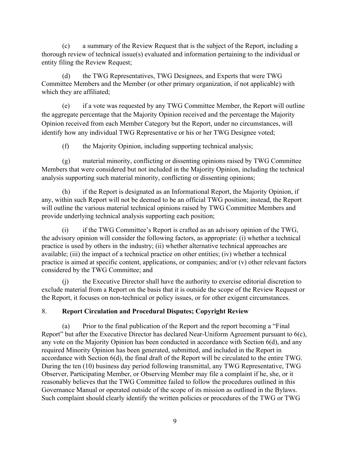(c) a summary of the Review Request that is the subject of the Report, including a thorough review of technical issue(s) evaluated and information pertaining to the individual or entity filing the Review Request;

(d) the TWG Representatives, TWG Designees, and Experts that were TWG Committee Members and the Member (or other primary organization, if not applicable) with which they are affiliated;

(e) if a vote was requested by any TWG Committee Member, the Report will outline the aggregate percentage that the Majority Opinion received and the percentage the Majority Opinion received from each Member Category but the Report, under no circumstances, will identify how any individual TWG Representative or his or her TWG Designee voted;

(f) the Majority Opinion, including supporting technical analysis;

(g) material minority, conflicting or dissenting opinions raised by TWG Committee Members that were considered but not included in the Majority Opinion, including the technical analysis supporting such material minority, conflicting or dissenting opinions;

(h) if the Report is designated as an Informational Report, the Majority Opinion, if any, within such Report will not be deemed to be an official TWG position; instead, the Report will outline the various material technical opinions raised by TWG Committee Members and provide underlying technical analysis supporting each position;

(i) if the TWG Committee's Report is crafted as an advisory opinion of the TWG, the advisory opinion will consider the following factors, as appropriate: (i) whether a technical practice is used by others in the industry; (ii) whether alternative technical approaches are available; (iii) the impact of a technical practice on other entities; (iv) whether a technical practice is aimed at specific content, applications, or companies; and/or (v) other relevant factors considered by the TWG Committee; and

(j) the Executive Director shall have the authority to exercise editorial discretion to exclude material from a Report on the basis that it is outside the scope of the Review Request or the Report, it focuses on non-technical or policy issues, or for other exigent circumstances.

# 8. **Report Circulation and Procedural Disputes; Copyright Review**

(a) Prior to the final publication of the Report and the report becoming a "Final Report" but after the Executive Director has declared Near-Uniform Agreement pursuant to 6(c), any vote on the Majority Opinion has been conducted in accordance with Section 6(d), and any required Minority Opinion has been generated, submitted, and included in the Report in accordance with Section 6(d), the final draft of the Report will be circulated to the entire TWG. During the ten (10) business day period following transmittal, any TWG Representative, TWG Observer, Participating Member, or Observing Member may file a complaint if he, she, or it reasonably believes that the TWG Committee failed to follow the procedures outlined in this Governance Manual or operated outside of the scope of its mission as outlined in the Bylaws. Such complaint should clearly identify the written policies or procedures of the TWG or TWG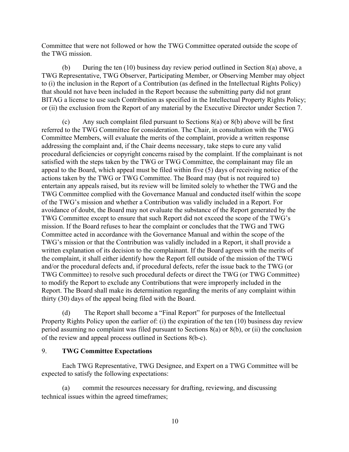Committee that were not followed or how the TWG Committee operated outside the scope of the TWG mission.

(b) During the ten (10) business day review period outlined in Section 8(a) above, a TWG Representative, TWG Observer, Participating Member, or Observing Member may object to (i) the inclusion in the Report of a Contribution (as defined in the Intellectual Rights Policy) that should not have been included in the Report because the submitting party did not grant BITAG a license to use such Contribution as specified in the Intellectual Property Rights Policy; or (ii) the exclusion from the Report of any material by the Executive Director under Section 7.

(c) Any such complaint filed pursuant to Sections  $8(a)$  or  $8(b)$  above will be first referred to the TWG Committee for consideration. The Chair, in consultation with the TWG Committee Members, will evaluate the merits of the complaint, provide a written response addressing the complaint and, if the Chair deems necessary, take steps to cure any valid procedural deficiencies or copyright concerns raised by the complaint. If the complainant is not satisfied with the steps taken by the TWG or TWG Committee, the complainant may file an appeal to the Board, which appeal must be filed within five (5) days of receiving notice of the actions taken by the TWG or TWG Committee. The Board may (but is not required to) entertain any appeals raised, but its review will be limited solely to whether the TWG and the TWG Committee complied with the Governance Manual and conducted itself within the scope of the TWG's mission and whether a Contribution was validly included in a Report. For avoidance of doubt, the Board may not evaluate the substance of the Report generated by the TWG Committee except to ensure that such Report did not exceed the scope of the TWG's mission. If the Board refuses to hear the complaint or concludes that the TWG and TWG Committee acted in accordance with the Governance Manual and within the scope of the TWG's mission or that the Contribution was validly included in a Report, it shall provide a written explanation of its decision to the complainant. If the Board agrees with the merits of the complaint, it shall either identify how the Report fell outside of the mission of the TWG and/or the procedural defects and, if procedural defects, refer the issue back to the TWG (or TWG Committee) to resolve such procedural defects or direct the TWG (or TWG Committee) to modify the Report to exclude any Contributions that were improperly included in the Report. The Board shall make its determination regarding the merits of any complaint within thirty (30) days of the appeal being filed with the Board.

(d) The Report shall become a "Final Report" for purposes of the Intellectual Property Rights Policy upon the earlier of: (i) the expiration of the ten (10) business day review period assuming no complaint was filed pursuant to Sections 8(a) or 8(b), or (ii) the conclusion of the review and appeal process outlined in Sections 8(b-c).

## 9. **TWG Committee Expectations**

Each TWG Representative, TWG Designee, and Expert on a TWG Committee will be expected to satisfy the following expectations:

(a) commit the resources necessary for drafting, reviewing, and discussing technical issues within the agreed timeframes;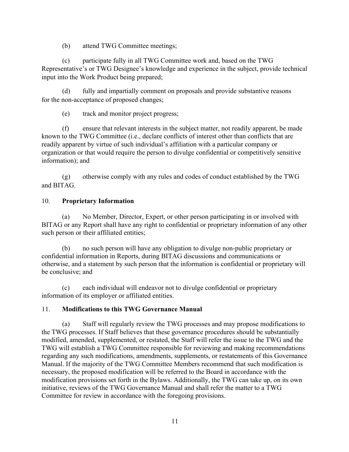(b) attend TWG Committee meetings;

(c) participate fully in all TWG Committee work and, based on the TWG Representative's or TWG Designee's knowledge and experience in the subject, provide technical input into the Work Product being prepared;

(d) fully and impartially comment on proposals and provide substantive reasons for the non-acceptance of proposed changes;

(e) track and monitor project progress;

(f) ensure that relevant interests in the subject matter, not readily apparent, be made known to the TWG Committee (i.e., declare conflicts of interest other than conflicts that are readily apparent by virtue of such individual's affiliation with a particular company or organization or that would require the person to divulge confidential or competitively sensitive information); and

(g) otherwise comply with any rules and codes of conduct established by the TWG and BITAG.

## 10. **Proprietary Information**

(a) No Member, Director, Expert, or other person participating in or involved with BITAG or any Report shall have any right to confidential or proprietary information of any other such person or their affiliated entities;

(b) no such person will have any obligation to divulge non-public proprietary or confidential information in Reports, during BITAG discussions and communications or otherwise, and a statement by such person that the information is confidential or proprietary will be conclusive; and

(c) each individual will endeavor not to divulge confidential or proprietary information of its employer or affiliated entities.

# 11. **Modifications to this TWG Governance Manual**

(a) Staff will regularly review the TWG processes and may propose modifications to the TWG processes. If Staff believes that these governance procedures should be substantially modified, amended, supplemented, or restated, the Staff will refer the issue to the TWG and the TWG will establish a TWG Committee responsible for reviewing and making recommendations regarding any such modifications, amendments, supplements, or restatements of this Governance Manual. If the majority of the TWG Committee Members recommend that such modification is necessary, the proposed modification will be referred to the Board in accordance with the modification provisions set forth in the Bylaws. Additionally, the TWG can take up, on its own initiative, reviews of the TWG Governance Manual and shall refer the matter to a TWG Committee for review in accordance with the foregoing provisions.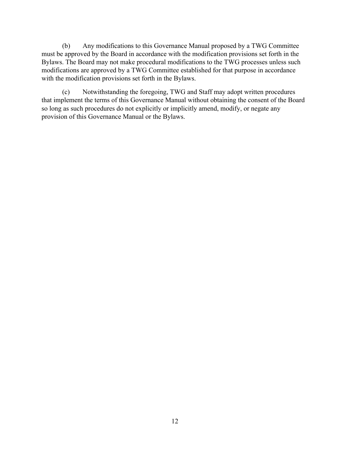(b) Any modifications to this Governance Manual proposed by a TWG Committee must be approved by the Board in accordance with the modification provisions set forth in the Bylaws. The Board may not make procedural modifications to the TWG processes unless such modifications are approved by a TWG Committee established for that purpose in accordance with the modification provisions set forth in the Bylaws.

(c) Notwithstanding the foregoing, TWG and Staff may adopt written procedures that implement the terms of this Governance Manual without obtaining the consent of the Board so long as such procedures do not explicitly or implicitly amend, modify, or negate any provision of this Governance Manual or the Bylaws.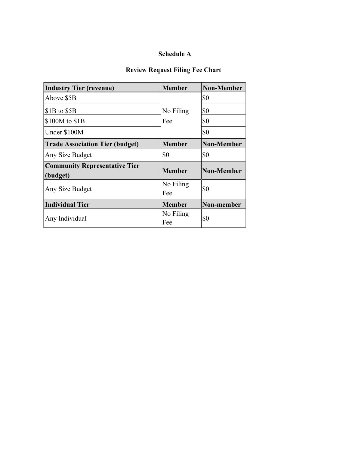# **Schedule A**

# **Review Request Filing Fee Chart**

| <b>Industry Tier (revenue)</b>                   | <b>Member</b>    | <b>Non-Member</b> |
|--------------------------------------------------|------------------|-------------------|
| Above \$5B                                       |                  | \$0               |
| $$1B$ to $$5B$                                   | No Filing        | \$0               |
| \$100M to \$1B                                   | Fee              | \$0               |
| Under \$100M                                     |                  | \$0               |
| <b>Trade Association Tier (budget)</b>           | <b>Member</b>    | <b>Non-Member</b> |
| Any Size Budget                                  | \$0              | \$0               |
| <b>Community Representative Tier</b><br>(budget) | <b>Member</b>    | <b>Non-Member</b> |
| Any Size Budget                                  | No Filing<br>Fee | \$0               |
| <b>Individual Tier</b>                           | <b>Member</b>    | Non-member        |
| Any Individual                                   | No Filing<br>Fee | \$0               |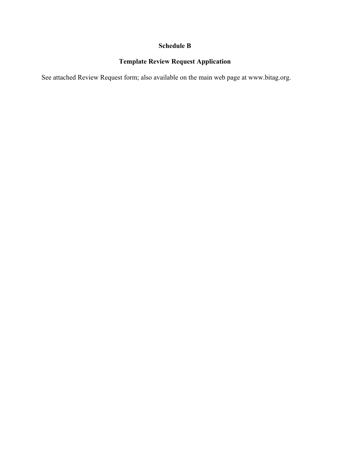# **Schedule B**

# **Template Review Request Application**

See attached Review Request form; also available on the main web page at www.bitag.org.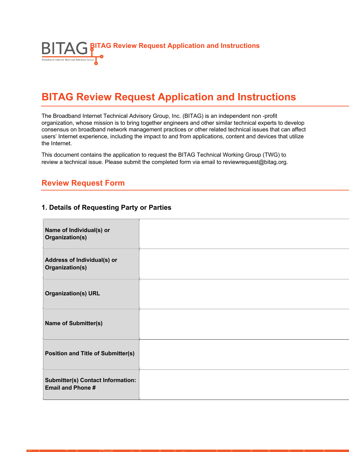

# **BITAG Review Request Application and Instructions**

The Broadband Internet Technical Advisory Group, Inc. (BITAG) is an independent non -profit organization, whose mission is to bring together engineers and other similar technical experts to develop consensus on broadband network management practices or other related technical issues that can affect users' Internet experience, including the impact to and from applications, content and devices that utilize the Internet.

This document contains the application to request the BITAG Technical Working Group (TWG) to review a technical issue. Please submit the completed form via email to reviewrequest@bitag.org.

# **Review Request Form**

#### **1. Details of Requesting Party or Parties**

| Name of Individual(s) or<br>Organization(s)                          |  |
|----------------------------------------------------------------------|--|
| Address of Individual(s) or<br>Organization(s)                       |  |
| <b>Organization(s) URL</b>                                           |  |
| <b>Name of Submitter(s)</b>                                          |  |
| <b>Position and Title of Submitter(s)</b>                            |  |
| <b>Submitter(s) Contact Information:</b><br><b>Email and Phone #</b> |  |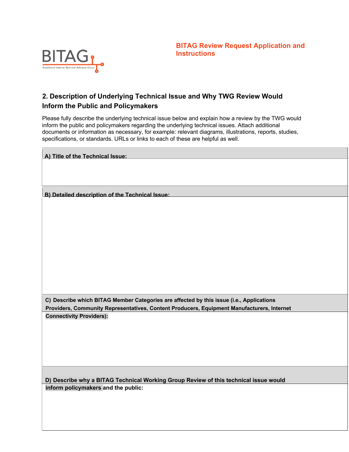

# **2. Description of Underlying Technical Issue and Why TWG Review Would Inform the Public and Policymakers**

Please fully describe the underlying technical issue below and explain how a review by the TWG would inform the public and policymakers regarding the underlying technical issues. Attach additional documents or information as necessary, for example: relevant diagrams, illustrations, reports, studies, specifications, or standards. URLs or links to each of these are helpful as well.

| A) Title of the Technical Issue:                                                           |
|--------------------------------------------------------------------------------------------|
|                                                                                            |
|                                                                                            |
|                                                                                            |
| B) Detailed description of the Technical Issue:                                            |
|                                                                                            |
|                                                                                            |
|                                                                                            |
|                                                                                            |
|                                                                                            |
|                                                                                            |
|                                                                                            |
|                                                                                            |
|                                                                                            |
|                                                                                            |
| C) Describe which BITAG Member Categories are affected by this issue (i.e., Applications   |
| Providers, Community Representatives, Content Producers, Equipment Manufacturers, Internet |
| <b>Connectivity Providers):</b>                                                            |
|                                                                                            |
|                                                                                            |
|                                                                                            |
|                                                                                            |
|                                                                                            |
|                                                                                            |
| D) Describe why a BITAG Technical Working Group Review of this technical issue would       |
| inform policymakers and the public:                                                        |
|                                                                                            |
|                                                                                            |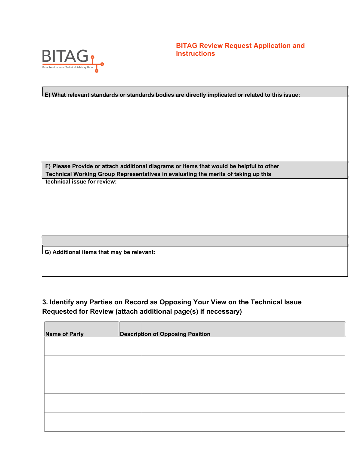

**BITAG Review Request Application and Instructions**

| E) What relevant standards or standards bodies are directly implicated or related to this issue:                                                                              |  |  |
|-------------------------------------------------------------------------------------------------------------------------------------------------------------------------------|--|--|
|                                                                                                                                                                               |  |  |
|                                                                                                                                                                               |  |  |
|                                                                                                                                                                               |  |  |
|                                                                                                                                                                               |  |  |
|                                                                                                                                                                               |  |  |
|                                                                                                                                                                               |  |  |
|                                                                                                                                                                               |  |  |
|                                                                                                                                                                               |  |  |
| F) Please Provide or attach additional diagrams or items that would be helpful to other<br>Technical Working Group Representatives in evaluating the merits of taking up this |  |  |
| technical issue for review:                                                                                                                                                   |  |  |
|                                                                                                                                                                               |  |  |
|                                                                                                                                                                               |  |  |
|                                                                                                                                                                               |  |  |
|                                                                                                                                                                               |  |  |
|                                                                                                                                                                               |  |  |
|                                                                                                                                                                               |  |  |
|                                                                                                                                                                               |  |  |
| G) Additional items that may be relevant:                                                                                                                                     |  |  |
|                                                                                                                                                                               |  |  |
|                                                                                                                                                                               |  |  |

# **3. Identify any Parties on Record as Opposing Your View on the Technical Issue Requested for Review (attach additional page(s) if necessary)**

| <b>Name of Party</b> | <b>Description of Opposing Position</b> |
|----------------------|-----------------------------------------|
|                      |                                         |
|                      |                                         |
|                      |                                         |
|                      |                                         |
|                      |                                         |
|                      |                                         |
|                      |                                         |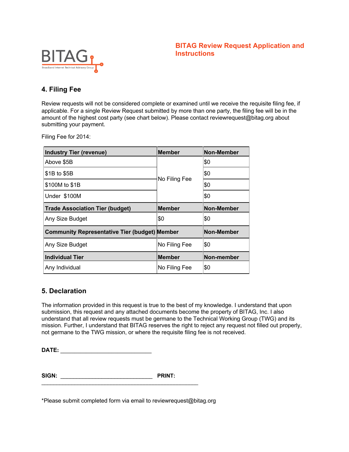## **BITAG Review Request Application and Instructions**



# **4. Filing Fee**

Review requests will not be considered complete or examined until we receive the requisite filing fee, if applicable. For a single Review Request submitted by more than one party, the filing fee will be in the amount of the highest cost party (see chart below). Please contact reviewrequest@bitag.org about submitting your payment.

Filing Fee for 2014:

| <b>Industry Tier (revenue)</b>                       | <b>Member</b> | <b>Non-Member</b> |
|------------------------------------------------------|---------------|-------------------|
| Above \$5B                                           |               | \$0               |
| \$1B to \$5B                                         |               | \$0               |
| \$100M to \$1B                                       | No Filing Fee | \$0               |
| Under \$100M                                         |               | \$0               |
| <b>Trade Association Tier (budget)</b>               | <b>Member</b> | <b>Non-Member</b> |
| Any Size Budget                                      | \$0           | \$0               |
| <b>Community Representative Tier (budget) Member</b> |               | <b>Non-Member</b> |
| Any Size Budget                                      | No Filing Fee | \$0               |
| <b>Individual Tier</b>                               | <b>Member</b> | Non-member        |
| Any Individual                                       | No Filing Fee | \$0               |

## **5. Declaration**

The information provided in this request is true to the best of my knowledge. I understand that upon submission, this request and any attached documents become the property of BITAG, Inc. I also understand that all review requests must be germane to the Technical Working Group (TWG) and its mission. Further, I understand that BITAG reserves the right to reject any request not filled out properly, not germane to the TWG mission, or where the requisite filing fee is not received.

**DATE: \_\_\_\_\_\_\_\_\_\_\_\_\_\_\_\_\_\_\_\_\_\_\_\_\_\_\_\_\_\_\_\_**

| SIGN: | <b>PRINT:</b> |
|-------|---------------|
|       |               |

\*Please submit completed form via email to reviewrequest@bitag.org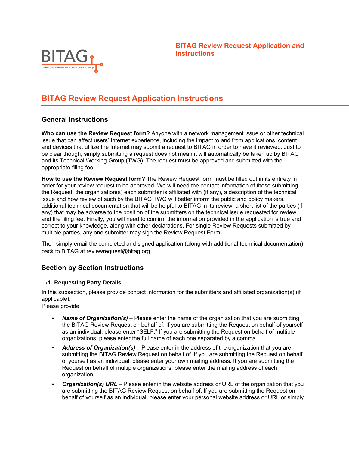

# **BITAG Review Request Application Instructions**

# **General Instructions**

**Who can use the Review Request form?** Anyone with a network management issue or other technical issue that can affect users' Internet experience, including the impact to and from applications, content and devices that utilize the Internet may submit a request to BITAG in order to have it reviewed. Just to be clear though, simply submitting a request does not mean it will automatically be taken up by BITAG and its Technical Working Group (TWG). The request must be approved and submitted with the appropriate filing fee.

**How to use the Review Request form?** The Review Request form must be filled out in its entirety in order for your review request to be approved. We will need the contact information of those submitting the Request, the organization(s) each submitter is affiliated with (if any), a description of the technical issue and how review of such by the BITAG TWG will better inform the public and policy makers, additional technical documentation that will be helpful to BITAG in its review, a short list of the parties (if any) that may be adverse to the position of the submitters on the technical issue requested for review, and the filing fee. Finally, you will need to confirm the information provided in the application is true and correct to your knowledge, along with other declarations. For single Review Requests submitted by multiple parties, any one submitter may sign the Review Request Form.

Then simply email the completed and signed application (along with additional technical documentation) back to BITAG at reviewrequest@bitag.org.

# **Section by Section Instructions**

#### →**1. Requesting Party Details**

In this subsection, please provide contact information for the submitters and affiliated organization(s) (if applicable).

Please provide:

- *Name of Organization(s)*  Please enter the name of the organization that you are submitting the BITAG Review Request on behalf of. If you are submitting the Request on behalf of yourself as an individual, please enter "SELF." If you are submitting the Request on behalf of multiple organizations, please enter the full name of each one separated by a comma.
- *Address of Organization(s)*  Please enter in the address of the organization that you are submitting the BITAG Review Request on behalf of. If you are submitting the Request on behalf of yourself as an individual, please enter your own mailing address. If you are submitting the Request on behalf of multiple organizations, please enter the mailing address of each organization.
- *Organization(s) URL*  Please enter in the website address or URL of the organization that you are submitting the BITAG Review Request on behalf of. If you are submitting the Request on behalf of yourself as an individual, please enter your personal website address or URL or simply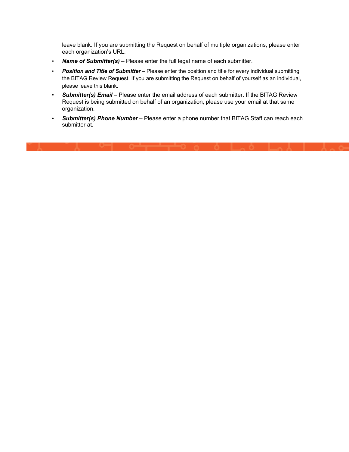leave blank. If you are submitting the Request on behalf of multiple organizations, please enter each organization's URL.

- *Name of Submitter(s)*  Please enter the full legal name of each submitter.
- *Position and Title of Submitter*  Please enter the position and title for every individual submitting the BITAG Review Request. If you are submitting the Request on behalf of yourself as an individual, please leave this blank.
- Submitter(s) Email Please enter the email address of each submitter. If the BITAG Review Request is being submitted on behalf of an organization, please use your email at that same organization.
- *Submitter(s) Phone Number*  Please enter a phone number that BITAG Staff can reach each submitter at.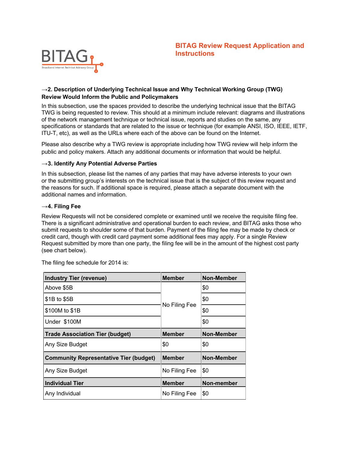

#### →**2. Description of Underlying Technical Issue and Why Technical Working Group (TWG) Review Would Inform the Public and Policymakers**

In this subsection, use the spaces provided to describe the underlying technical issue that the BITAG TWG is being requested to review. This should at a minimum include relevant: diagrams and illustrations of the network management technique or technical issue, reports and studies on the same, any specifications or standards that are related to the issue or technique (for example ANSI, ISO, IEEE, IETF, ITU-T, etc), as well as the URLs where each of the above can be found on the Internet.

Please also describe why a TWG review is appropriate including how TWG review will help inform the public and policy makers. Attach any additional documents or information that would be helpful.

#### →**3. Identify Any Potential Adverse Parties**

In this subsection, please list the names of any parties that may have adverse interests to your own or the submitting group's interests on the technical issue that is the subject of this review request and the reasons for such. If additional space is required, please attach a separate document with the additional names and information.

#### →**4. Filing Fee**

Review Requests will not be considered complete or examined until we receive the requisite filing fee. There is a significant administrative and operational burden to each review, and BITAG asks those who submit requests to shoulder some of that burden. Payment of the filing fee may be made by check or credit card, though with credit card payment some additional fees may apply. For a single Review Request submitted by more than one party, the filing fee will be in the amount of the highest cost party (see chart below).

| <b>Industry Tier (revenue)</b>                | <b>Member</b> | <b>Non-Member</b> |
|-----------------------------------------------|---------------|-------------------|
| Above \$5B                                    |               | \$0               |
| \$1B to \$5B                                  |               |                   |
| No Filing Fee<br>\$100M to \$1B               |               | \$0               |
| Under \$100M                                  |               | \$0               |
| <b>Trade Association Tier (budget)</b>        | <b>Member</b> | <b>Non-Member</b> |
| Any Size Budget                               | \$0           | \$0               |
| <b>Community Representative Tier (budget)</b> | <b>Member</b> | <b>Non-Member</b> |
| Any Size Budget                               | No Filing Fee | \$0               |
| <b>Individual Tier</b>                        | <b>Member</b> | Non-member        |
| Any Individual                                | No Filing Fee | \$0               |

The filing fee schedule for 2014 is: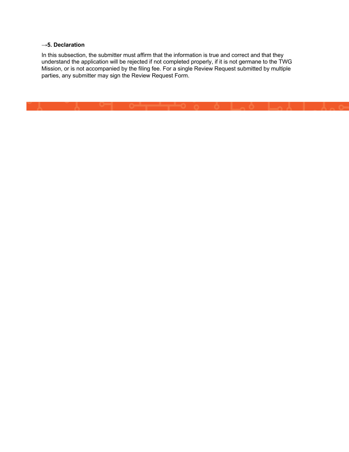#### **→5. Declaration**

In this subsection, the submitter must affirm that the information is true and correct and that they understand the application will be rejected if not completed properly, if it is not germane to the TWG Mission, or is not accompanied by the filing fee. For a single Review Request submitted by multiple parties, any submitter may sign the Review Request Form.